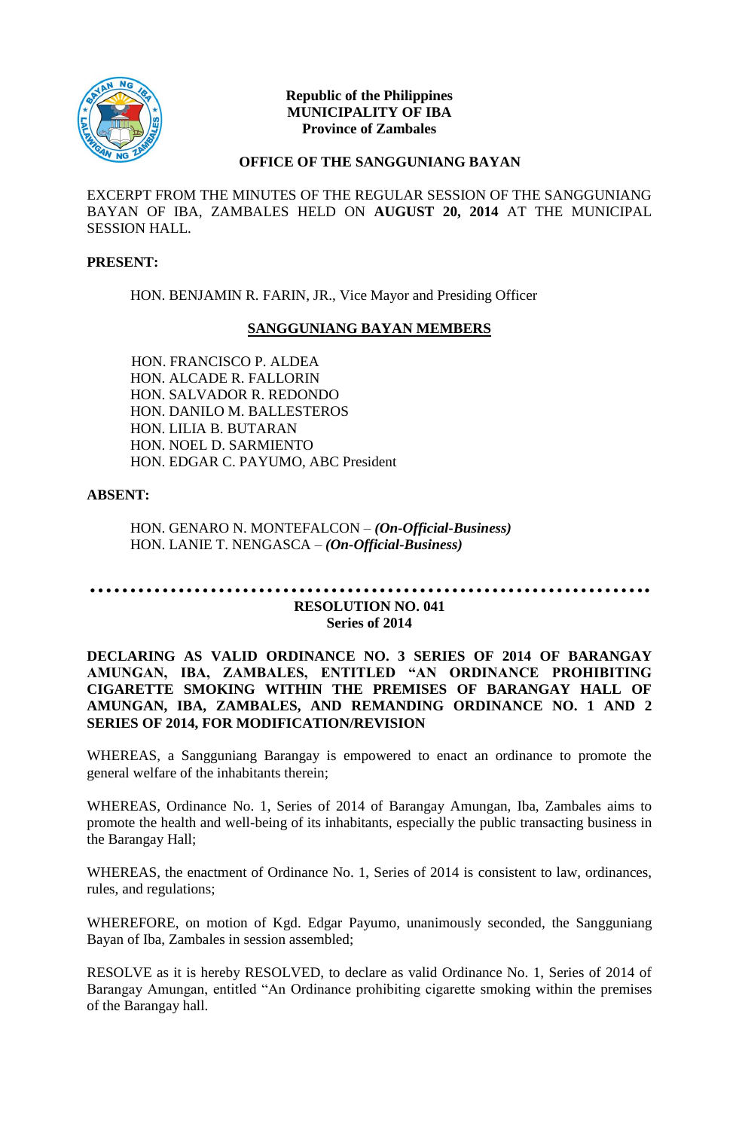

## **Republic of the Philippines MUNICIPALITY OF IBA Province of Zambales**

## **OFFICE OF THE SANGGUNIANG BAYAN**

EXCERPT FROM THE MINUTES OF THE REGULAR SESSION OF THE SANGGUNIANG BAYAN OF IBA, ZAMBALES HELD ON **AUGUST 20, 2014** AT THE MUNICIPAL SESSION HALL.

#### **PRESENT:**

HON. BENJAMIN R. FARIN, JR., Vice Mayor and Presiding Officer

# **SANGGUNIANG BAYAN MEMBERS**

HON. FRANCISCO P. ALDEA HON. ALCADE R. FALLORIN HON. SALVADOR R. REDONDO HON. DANILO M. BALLESTEROS HON. LILIA B. BUTARAN HON. NOEL D. SARMIENTO HON. EDGAR C. PAYUMO, ABC President

# **ABSENT:**

HON. GENARO N. MONTEFALCON – *(On-Official-Business)* HON. LANIE T. NENGASCA – *(On-Official-Business)*

#### **……………………………………………………………. RESOLUTION NO. 041 Series of 2014**

## **DECLARING AS VALID ORDINANCE NO. 3 SERIES OF 2014 OF BARANGAY AMUNGAN, IBA, ZAMBALES, ENTITLED "AN ORDINANCE PROHIBITING CIGARETTE SMOKING WITHIN THE PREMISES OF BARANGAY HALL OF AMUNGAN, IBA, ZAMBALES, AND REMANDING ORDINANCE NO. 1 AND 2 SERIES OF 2014, FOR MODIFICATION/REVISION**

WHEREAS, a Sangguniang Barangay is empowered to enact an ordinance to promote the general welfare of the inhabitants therein;

WHEREAS, Ordinance No. 1, Series of 2014 of Barangay Amungan, Iba, Zambales aims to promote the health and well-being of its inhabitants, especially the public transacting business in the Barangay Hall;

WHEREAS, the enactment of Ordinance No. 1, Series of 2014 is consistent to law, ordinances, rules, and regulations;

WHEREFORE, on motion of Kgd. Edgar Payumo, unanimously seconded, the Sangguniang Bayan of Iba, Zambales in session assembled;

RESOLVE as it is hereby RESOLVED, to declare as valid Ordinance No. 1, Series of 2014 of Barangay Amungan, entitled "An Ordinance prohibiting cigarette smoking within the premises of the Barangay hall.